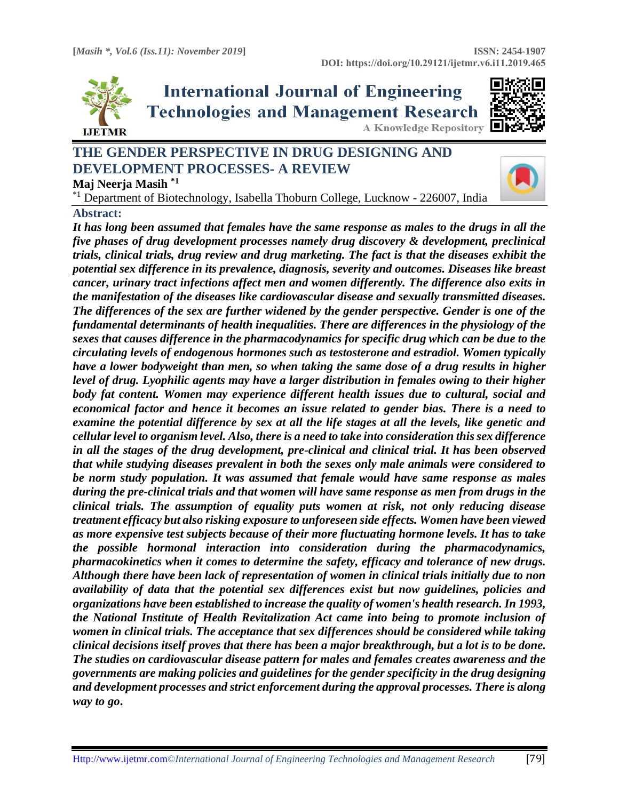

**International Journal of Engineering Technologies and Management Research A Knowledge Repository** 



# **THE GENDER PERSPECTIVE IN DRUG DESIGNING AND DEVELOPMENT PROCESSES- A REVIEW Maj Neerja Masih \*1**



\*1 Department of Biotechnology, Isabella Thoburn College, Lucknow - 226007, India

### **Abstract:**

*It has long been assumed that females have the same response as males to the drugs in all the five phases of drug development processes namely drug discovery & development, preclinical trials, clinical trials, drug review and drug marketing. The fact is that the diseases exhibit the potential sex difference in its prevalence, diagnosis, severity and outcomes. Diseases like breast cancer, urinary tract infections affect men and women differently. The difference also exits in the manifestation of the diseases like cardiovascular disease and sexually transmitted diseases. The differences of the sex are further widened by the gender perspective. Gender is one of the fundamental determinants of health inequalities. There are differences in the physiology of the sexes that causes difference in the pharmacodynamics for specific drug which can be due to the circulating levels of endogenous hormones such as testosterone and estradiol. Women typically have a lower bodyweight than men, so when taking the same dose of a drug results in higher level of drug. Lyophilic agents may have a larger distribution in females owing to their higher body fat content. Women may experience different health issues due to cultural, social and economical factor and hence it becomes an issue related to gender bias. There is a need to examine the potential difference by sex at all the life stages at all the levels, like genetic and cellular level to organism level. Also, there is a need to take into consideration this sex difference in all the stages of the drug development, pre-clinical and clinical trial. It has been observed that while studying diseases prevalent in both the sexes only male animals were considered to be norm study population. It was assumed that female would have same response as males during the pre-clinical trials and that women will have same response as men from drugs in the clinical trials. The assumption of equality puts women at risk, not only reducing disease treatment efficacy but also risking exposure to unforeseen side effects. Women have been viewed as more expensive test subjects because of their more fluctuating hormone levels. It has to take the possible hormonal interaction into consideration during the pharmacodynamics, pharmacokinetics when it comes to determine the safety, efficacy and tolerance of new drugs. Although there have been lack of representation of women in clinical trials initially due to non availability of data that the potential sex differences exist but now guidelines, policies and organizations have been established to increase the quality of women's health research. In 1993, the National Institute of Health Revitalization Act came into being to promote inclusion of women in clinical trials. The acceptance that sex differences should be considered while taking clinical decisions itself proves that there has been a major breakthrough, but a lot is to be done. The studies on cardiovascular disease pattern for males and females creates awareness and the governments are making policies and guidelines for the gender specificity in the drug designing and development processes and strict enforcement during the approval processes. There is along way to go***.**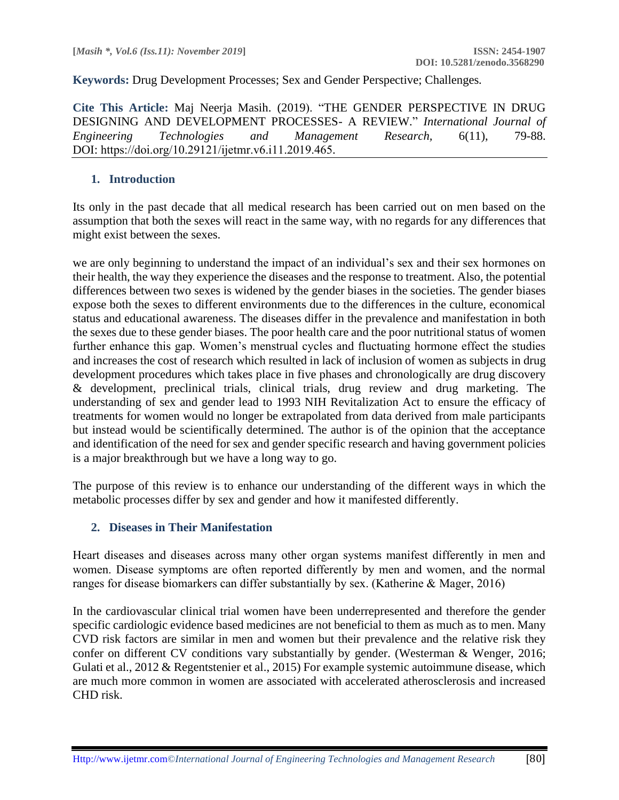**Keywords:** Drug Development Processes; Sex and Gender Perspective; Challenges*.* 

**Cite This Article:** Maj Neerja Masih. (2019). "THE GENDER PERSPECTIVE IN DRUG DESIGNING AND DEVELOPMENT PROCESSES- A REVIEW." *International Journal of Engineering Technologies and Management Research,* 6(11), 79-88. DOI: https://doi.org/10.29121/ijetmr.v6.i11.2019.465.

### **1. Introduction**

Its only in the past decade that all medical research has been carried out on men based on the assumption that both the sexes will react in the same way, with no regards for any differences that might exist between the sexes.

we are only beginning to understand the impact of an individual's sex and their sex hormones on their health, the way they experience the diseases and the response to treatment. Also, the potential differences between two sexes is widened by the gender biases in the societies. The gender biases expose both the sexes to different environments due to the differences in the culture, economical status and educational awareness. The diseases differ in the prevalence and manifestation in both the sexes due to these gender biases. The poor health care and the poor nutritional status of women further enhance this gap. Women's menstrual cycles and fluctuating hormone effect the studies and increases the cost of research which resulted in lack of inclusion of women as subjects in drug development procedures which takes place in five phases and chronologically are drug discovery & development, preclinical trials, clinical trials, drug review and drug marketing. The understanding of sex and gender lead to 1993 NIH Revitalization Act to ensure the efficacy of treatments for women would no longer be extrapolated from data derived from male participants but instead would be scientifically determined. The author is of the opinion that the acceptance and identification of the need for sex and gender specific research and having government policies is a major breakthrough but we have a long way to go.

The purpose of this review is to enhance our understanding of the different ways in which the metabolic processes differ by sex and gender and how it manifested differently.

# **2. Diseases in Their Manifestation**

Heart diseases and diseases across many other organ systems manifest differently in men and women. Disease symptoms are often reported differently by men and women, and the normal ranges for disease biomarkers can differ substantially by sex. (Katherine & Mager, 2016)

In the cardiovascular clinical trial women have been underrepresented and therefore the gender specific cardiologic evidence based medicines are not beneficial to them as much as to men. Many CVD risk factors are similar in men and women but their prevalence and the relative risk they confer on different CV conditions vary substantially by gender. (Westerman & Wenger, 2016; Gulati et al., 2012 & Regentstenier et al., 2015) For example systemic autoimmune disease, which are much more common in women are associated with accelerated atherosclerosis and increased CHD risk.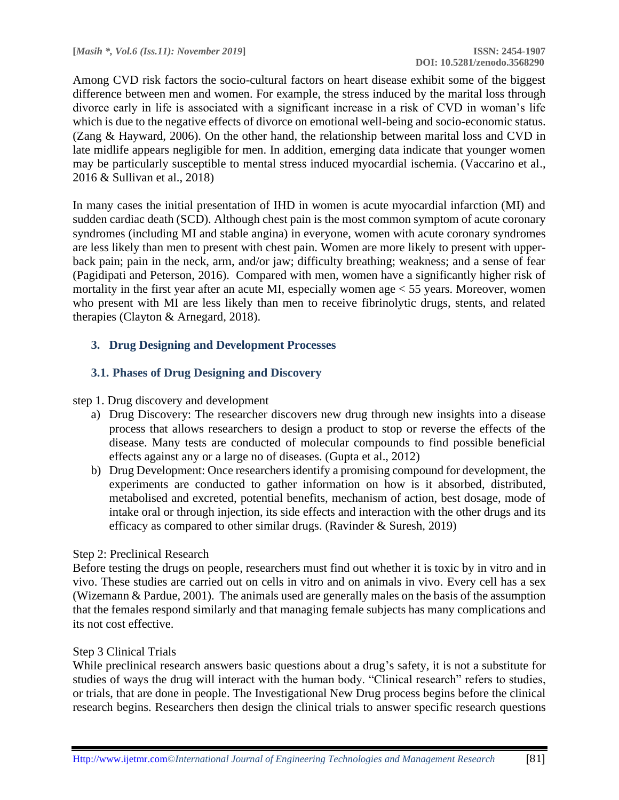Among CVD risk factors the socio-cultural factors on heart disease exhibit some of the biggest difference between men and women. For example, the stress induced by the marital loss through divorce early in life is associated with a significant increase in a risk of CVD in woman's life which is due to the negative effects of divorce on emotional well-being and socio-economic status. (Zang & Hayward, 2006). On the other hand, the relationship between marital loss and CVD in late midlife appears negligible for men. In addition, emerging data indicate that younger women may be particularly susceptible to mental stress induced myocardial ischemia. (Vaccarino et al., 2016 & Sullivan et al., 2018)

In many cases the initial presentation of IHD in women is acute myocardial infarction (MI) and sudden cardiac death (SCD). Although chest pain is the most common symptom of acute coronary syndromes (including MI and stable angina) in everyone, women with acute coronary syndromes are less likely than men to present with chest pain. Women are more likely to present with upperback pain; pain in the neck, arm, and/or jaw; difficulty breathing; weakness; and a sense of fear (Pagidipati and Peterson, 2016). Compared with men, women have a significantly higher risk of mortality in the first year after an acute MI, especially women age < 55 years. Moreover, women who present with MI are less likely than men to receive fibrinolytic drugs, stents, and related therapies (Clayton & Arnegard, 2018).

### **3. Drug Designing and Development Processes**

### **3.1. Phases of Drug Designing and Discovery**

#### step 1. Drug discovery and development

- a) Drug Discovery: The researcher discovers new drug through new insights into a disease process that allows researchers to design a product to stop or reverse the effects of the disease. Many tests are conducted of molecular compounds to find possible beneficial effects against any or a large no of diseases. (Gupta et al., 2012)
- b) Drug Development: Once researchers identify a promising compound for development, the experiments are conducted to gather information on how is it absorbed, distributed, metabolised and excreted, potential benefits, mechanism of action, best dosage, mode of intake oral or through injection, its side effects and interaction with the other drugs and its efficacy as compared to other similar drugs. (Ravinder & Suresh, 2019)

#### Step 2: Preclinical Research

Before testing the drugs on people, researchers must find out whether it is toxic by in vitro and in vivo. These studies are carried out on cells in vitro and on animals in vivo. Every cell has a sex (Wizemann & Pardue, 2001). The animals used are generally males on the basis of the assumption that the females respond similarly and that managing female subjects has many complications and its not cost effective.

#### Step 3 Clinical Trials

While preclinical research answers basic questions about a drug's safety, it is not a substitute for studies of ways the drug will interact with the human body. "Clinical research" refers to studies, or trials, that are done in people. The Investigational New Drug process begins before the clinical research begins. Researchers then design the clinical trials to answer specific research questions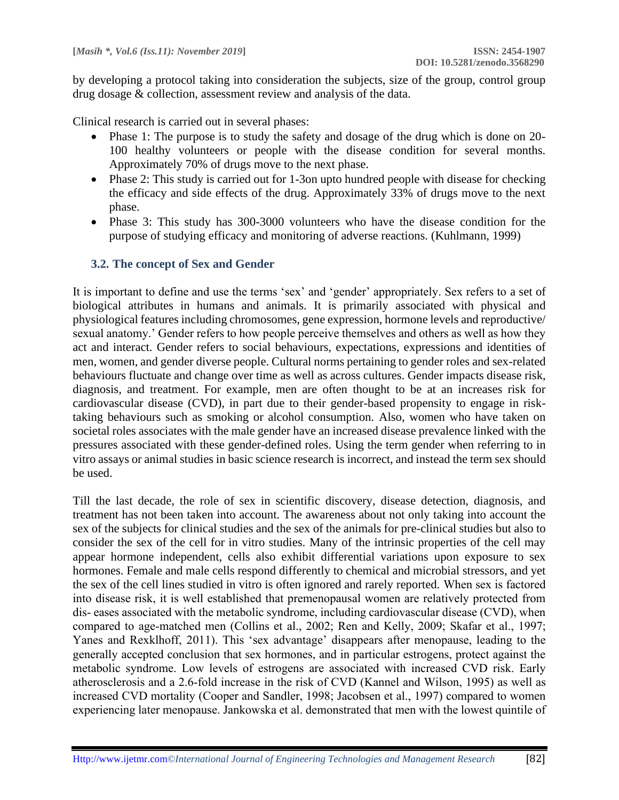by developing a protocol taking into consideration the subjects, size of the group, control group drug dosage & collection, assessment review and analysis of the data.

Clinical research is carried out in several phases:

- Phase 1: The purpose is to study the safety and dosage of the drug which is done on 20- 100 healthy volunteers or people with the disease condition for several months. Approximately 70% of drugs move to the next phase.
- Phase 2: This study is carried out for 1-3on upto hundred people with disease for checking the efficacy and side effects of the drug. Approximately 33% of drugs move to the next phase.
- Phase 3: This study has 300-3000 volunteers who have the disease condition for the purpose of studying efficacy and monitoring of adverse reactions. (Kuhlmann, 1999)

# **3.2. The concept of Sex and Gender**

It is important to define and use the terms 'sex' and 'gender' appropriately. Sex refers to a set of biological attributes in humans and animals. It is primarily associated with physical and physiological features including chromosomes, gene expression, hormone levels and reproductive/ sexual anatomy.' Gender refers to how people perceive themselves and others as well as how they act and interact. Gender refers to social behaviours, expectations, expressions and identities of men, women, and gender diverse people. Cultural norms pertaining to gender roles and sex-related behaviours fluctuate and change over time as well as across cultures. Gender impacts disease risk, diagnosis, and treatment. For example, men are often thought to be at an increases risk for cardiovascular disease (CVD), in part due to their gender-based propensity to engage in risktaking behaviours such as smoking or alcohol consumption. Also, women who have taken on societal roles associates with the male gender have an increased disease prevalence linked with the pressures associated with these gender-defined roles. Using the term gender when referring to in vitro assays or animal studies in basic science research is incorrect, and instead the term sex should be used.

Till the last decade, the role of sex in scientific discovery, disease detection, diagnosis, and treatment has not been taken into account. The awareness about not only taking into account the sex of the subjects for clinical studies and the sex of the animals for pre-clinical studies but also to consider the sex of the cell for in vitro studies. Many of the intrinsic properties of the cell may appear hormone independent, cells also exhibit differential variations upon exposure to sex hormones. Female and male cells respond differently to chemical and microbial stressors, and yet the sex of the cell lines studied in vitro is often ignored and rarely reported. When sex is factored into disease risk, it is well established that premenopausal women are relatively protected from dis- eases associated with the metabolic syndrome, including cardiovascular disease (CVD), when compared to age-matched men (Collins et al., 2002; Ren and Kelly, 2009; Skafar et al., 1997; Yanes and Rexklhoff, 2011). This 'sex advantage' disappears after menopause, leading to the generally accepted conclusion that sex hormones, and in particular estrogens, protect against the metabolic syndrome. Low levels of estrogens are associated with increased CVD risk. Early atherosclerosis and a 2.6-fold increase in the risk of CVD (Kannel and Wilson, 1995) as well as increased CVD mortality (Cooper and Sandler, 1998; Jacobsen et al., 1997) compared to women experiencing later menopause. Jankowska et al. demonstrated that men with the lowest quintile of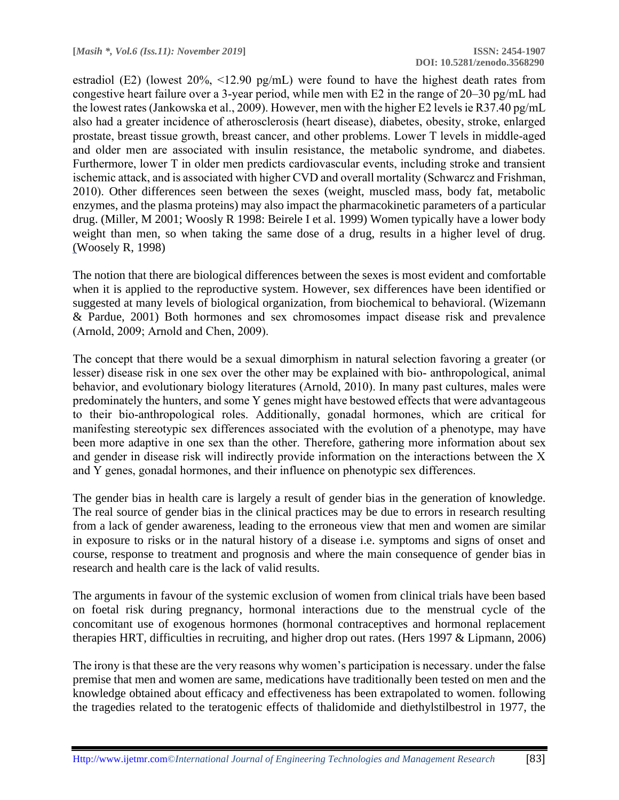estradiol (E2) (lowest 20%, <12.90 pg/mL) were found to have the highest death rates from congestive heart failure over a 3-year period, while men with E2 in the range of 20–30 pg/mL had the lowest rates (Jankowska et al., 2009). However, men with the higher E2 levels ie R37.40 pg/mL also had a greater incidence of atherosclerosis (heart disease), diabetes, obesity, stroke, enlarged prostate, breast tissue growth, breast cancer, and other problems. Lower T levels in middle-aged and older men are associated with insulin resistance, the metabolic syndrome, and diabetes. Furthermore, lower T in older men predicts cardiovascular events, including stroke and transient ischemic attack, and is associated with higher CVD and overall mortality (Schwarcz and Frishman, 2010). Other differences seen between the sexes (weight, muscled mass, body fat, metabolic enzymes, and the plasma proteins) may also impact the pharmacokinetic parameters of a particular drug. (Miller, M 2001; Woosly R 1998: Beirele I et al. 1999) Women typically have a lower body weight than men, so when taking the same dose of a drug, results in a higher level of drug. (Woosely R, 1998)

The notion that there are biological differences between the sexes is most evident and comfortable when it is applied to the reproductive system. However, sex differences have been identified or suggested at many levels of biological organization, from biochemical to behavioral. (Wizemann & Pardue, 2001) Both hormones and sex chromosomes impact disease risk and prevalence (Arnold, 2009; Arnold and Chen, 2009).

The concept that there would be a sexual dimorphism in natural selection favoring a greater (or lesser) disease risk in one sex over the other may be explained with bio- anthropological, animal behavior, and evolutionary biology literatures (Arnold, 2010). In many past cultures, males were predominately the hunters, and some Y genes might have bestowed effects that were advantageous to their bio-anthropological roles. Additionally, gonadal hormones, which are critical for manifesting stereotypic sex differences associated with the evolution of a phenotype, may have been more adaptive in one sex than the other. Therefore, gathering more information about sex and gender in disease risk will indirectly provide information on the interactions between the X and Y genes, gonadal hormones, and their influence on phenotypic sex differences.

The gender bias in health care is largely a result of gender bias in the generation of knowledge. The real source of gender bias in the clinical practices may be due to errors in research resulting from a lack of gender awareness, leading to the erroneous view that men and women are similar in exposure to risks or in the natural history of a disease i.e. symptoms and signs of onset and course, response to treatment and prognosis and where the main consequence of gender bias in research and health care is the lack of valid results.

The arguments in favour of the systemic exclusion of women from clinical trials have been based on foetal risk during pregnancy, hormonal interactions due to the menstrual cycle of the concomitant use of exogenous hormones (hormonal contraceptives and hormonal replacement therapies HRT, difficulties in recruiting, and higher drop out rates. (Hers 1997 & Lipmann, 2006)

The irony is that these are the very reasons why women's participation is necessary. under the false premise that men and women are same, medications have traditionally been tested on men and the knowledge obtained about efficacy and effectiveness has been extrapolated to women. following the tragedies related to the teratogenic effects of thalidomide and diethylstilbestrol in 1977, the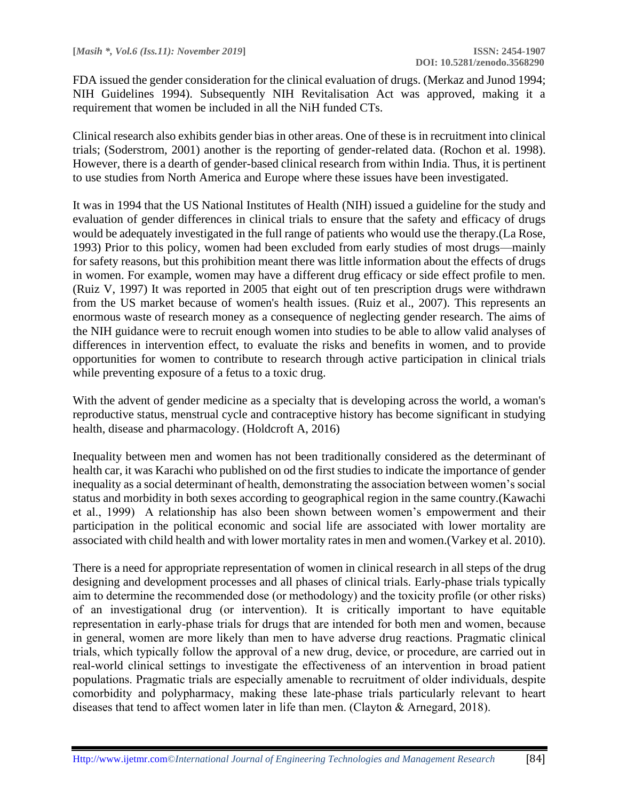FDA issued the gender consideration for the clinical evaluation of drugs. (Merkaz and Junod 1994; NIH Guidelines 1994). Subsequently NIH Revitalisation Act was approved, making it a requirement that women be included in all the NiH funded CTs.

Clinical research also exhibits gender bias in other areas. One of these is in recruitment into clinical trials; (Soderstrom, 2001) another is the reporting of gender-related data. (Rochon et al. 1998). However, there is a dearth of gender-based clinical research from within India. Thus, it is pertinent to use studies from North America and Europe where these issues have been investigated.

It was in 1994 that the US National Institutes of Health (NIH) issued a guideline for the study and evaluation of gender differences in clinical trials to ensure that the safety and efficacy of drugs would be adequately investigated in the full range of patients who would use the therapy.(La Rose, 1993) Prior to this policy, women had been excluded from early studies of most drugs—mainly for safety reasons, but this prohibition meant there was little information about the effects of drugs in women. For example, women may have a different drug efficacy or side effect profile to men. (Ruiz V, 1997) It was reported in 2005 that eight out of ten prescription drugs were withdrawn from the US market because of women's health issues. (Ruiz et al., 2007). This represents an enormous waste of research money as a consequence of neglecting gender research. The aims of the NIH guidance were to recruit enough women into studies to be able to allow valid analyses of differences in intervention effect, to evaluate the risks and benefits in women, and to provide opportunities for women to contribute to research through active participation in clinical trials while preventing exposure of a fetus to a toxic drug.

With the advent of gender medicine as a specialty that is developing across the world, a woman's reproductive status, menstrual cycle and contraceptive history has become significant in studying health, disease and pharmacology. (Holdcroft A, 2016)

Inequality between men and women has not been traditionally considered as the determinant of health car, it was Karachi who published on od the first studies to indicate the importance of gender inequality as a social determinant of health, demonstrating the association between women's social status and morbidity in both sexes according to geographical region in the same country.(Kawachi et al., 1999) A relationship has also been shown between women's empowerment and their participation in the political economic and social life are associated with lower mortality are associated with child health and with lower mortality rates in men and women.(Varkey et al. 2010).

There is a need for appropriate representation of women in clinical research in all steps of the drug designing and development processes and all phases of clinical trials. Early-phase trials typically aim to determine the recommended dose (or methodology) and the toxicity profile (or other risks) of an investigational drug (or intervention). It is critically important to have equitable representation in early-phase trials for drugs that are intended for both men and women, because in general, women are more likely than men to have adverse drug reactions. Pragmatic clinical trials, which typically follow the approval of a new drug, device, or procedure, are carried out in real-world clinical settings to investigate the effectiveness of an intervention in broad patient populations. Pragmatic trials are especially amenable to recruitment of older individuals, despite comorbidity and polypharmacy, making these late-phase trials particularly relevant to heart diseases that tend to affect women later in life than men. (Clayton & Arnegard, 2018).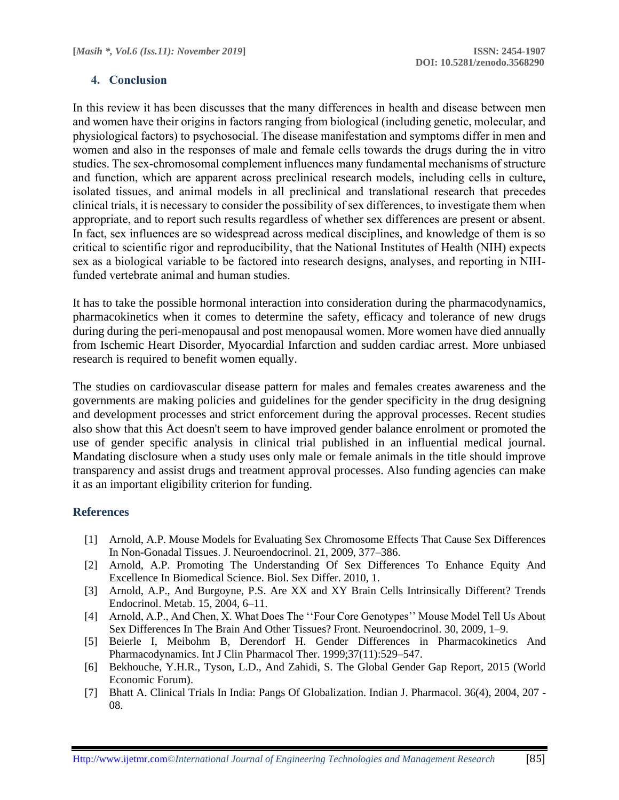### **4. Conclusion**

In this review it has been discusses that the many differences in health and disease between men and women have their origins in factors ranging from biological (including genetic, molecular, and physiological factors) to psychosocial. The disease manifestation and symptoms differ in men and women and also in the responses of male and female cells towards the drugs during the in vitro studies. The sex-chromosomal complement influences many fundamental mechanisms of structure and function, which are apparent across preclinical research models, including cells in culture, isolated tissues, and animal models in all preclinical and translational research that precedes clinical trials, it is necessary to consider the possibility of sex differences, to investigate them when appropriate, and to report such results regardless of whether sex differences are present or absent. In fact, sex influences are so widespread across medical disciplines, and knowledge of them is so critical to scientific rigor and reproducibility, that the National Institutes of Health (NIH) expects sex as a biological variable to be factored into research designs, analyses, and reporting in NIHfunded vertebrate animal and human studies.

It has to take the possible hormonal interaction into consideration during the pharmacodynamics, pharmacokinetics when it comes to determine the safety, efficacy and tolerance of new drugs during during the peri-menopausal and post menopausal women. More women have died annually from Ischemic Heart Disorder, Myocardial Infarction and sudden cardiac arrest. More unbiased research is required to benefit women equally.

The studies on cardiovascular disease pattern for males and females creates awareness and the governments are making policies and guidelines for the gender specificity in the drug designing and development processes and strict enforcement during the approval processes. Recent studies also show that this Act doesn't seem to have improved gender balance enrolment or promoted the use of gender specific analysis in clinical trial published in an influential medical journal. Mandating disclosure when a study uses only male or female animals in the title should improve transparency and assist drugs and treatment approval processes. Also funding agencies can make it as an important eligibility criterion for funding.

### **References**

- [1] Arnold, A.P. Mouse Models for Evaluating Sex Chromosome Effects That Cause Sex Differences In Non-Gonadal Tissues. J. Neuroendocrinol. 21, 2009, 377–386.
- [2] Arnold, A.P. Promoting The Understanding Of Sex Differences To Enhance Equity And Excellence In Biomedical Science. Biol. Sex Differ. 2010, 1.
- [3] Arnold, A.P., And Burgoyne, P.S. Are XX and XY Brain Cells Intrinsically Different? Trends Endocrinol. Metab. 15, 2004, 6–11.
- [4] Arnold, A.P., And Chen, X. What Does The ''Four Core Genotypes'' Mouse Model Tell Us About Sex Differences In The Brain And Other Tissues? Front. Neuroendocrinol. 30, 2009, 1–9.
- [5] Beierle I, Meibohm B, Derendorf H. Gender Differences in Pharmacokinetics And Pharmacodynamics. Int J Clin Pharmacol Ther. 1999;37(11):529–547.
- [6] Bekhouche, Y.H.R., Tyson, L.D., And Zahidi, S. The Global Gender Gap Report, 2015 (World Economic Forum).
- [7] Bhatt A. Clinical Trials In India: Pangs Of Globalization. Indian J. Pharmacol. 36(4), 2004, 207 08.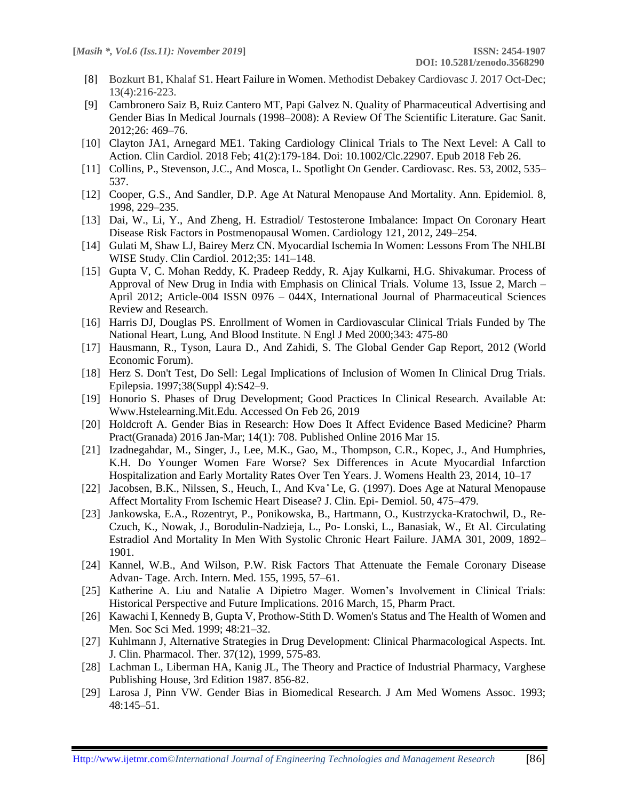- [8] [Bozkurt B1](https://www.ncbi.nlm.nih.gov/pubmed/?term=Bozkurt%20B%5BAuthor%5D&cauthor=true&cauthor_uid=29744014), [Khalaf S1](https://www.ncbi.nlm.nih.gov/pubmed/?term=Khalaf%20S%5BAuthor%5D&cauthor=true&cauthor_uid=29744014). Heart Failure in Women. Methodist Debakey Cardiovasc J. 2017 Oct-Dec; 13(4):216-223.
- [9] Cambronero Saiz B, Ruiz Cantero MT, Papi Galvez N. Quality of Pharmaceutical Advertising and Gender Bias In Medical Journals (1998–2008): A Review Of The Scientific Literature. Gac Sanit. 2012;26: 469–76.
- [10] [Clayton JA1](https://www.ncbi.nlm.nih.gov/pubmed/?term=Clayton%20JA%5BAuthor%5D&cauthor=true&cauthor_uid=29480590), [Arnegard ME1](https://www.ncbi.nlm.nih.gov/pubmed/?term=Arnegard%20ME%5BAuthor%5D&cauthor=true&cauthor_uid=29480590). Taking Cardiology Clinical Trials to The Next Level: A Call to Action. Clin Cardiol. 2018 Feb; 41(2):179-184. Doi: 10.1002/Clc.22907. Epub 2018 Feb 26.
- [11] Collins, P., Stevenson, J.C., And Mosca, L. Spotlight On Gender. Cardiovasc. Res. 53, 2002, 535– 537.
- [12] Cooper, G.S., And Sandler, D.P. Age At Natural Menopause And Mortality. Ann. Epidemiol. 8, 1998, 229–235.
- [13] Dai, W., Li, Y., And Zheng, H. Estradiol/ Testosterone Imbalance: Impact On Coronary Heart Disease Risk Factors in Postmenopausal Women. Cardiology 121, 2012, 249–254.
- [14] Gulati M, Shaw LJ, Bairey Merz CN. Myocardial Ischemia In Women: Lessons From The NHLBI WISE Study. Clin Cardiol. 2012;35: 141–148.
- [15] Gupta V, C. Mohan Reddy, K. Pradeep Reddy, R. Ajay Kulkarni, H.G. Shivakumar. Process of Approval of New Drug in India with Emphasis on Clinical Trials. Volume 13, Issue 2, March – April 2012; Article-004 ISSN 0976 – 044X, International Journal of Pharmaceutical Sciences Review and Research.
- [16] Harris DJ, Douglas PS. Enrollment of Women in Cardiovascular Clinical Trials Funded by The National Heart, Lung, And Blood Institute. N Engl J Med 2000;343: 475-80
- [17] Hausmann, R., Tyson, Laura D., And Zahidi, S. The Global Gender Gap Report, 2012 (World Economic Forum).
- [18] Herz S. Don't Test, Do Sell: Legal Implications of Inclusion of Women In Clinical Drug Trials. Epilepsia. 1997;38(Suppl 4):S42–9.
- [19] Honorio S. Phases of Drug Development; Good Practices In Clinical Research. Available At: Www.Hstelearning.Mit.Edu. Accessed On Feb 26, 2019
- [20] Holdcroft A. Gender Bias in Research: How Does It Affect Evidence Based Medicine? Pharm Pract(Granada) 2016 Jan-Mar; 14(1): 708. Published Online 2016 Mar 15.
- [21] Izadnegahdar, M., Singer, J., Lee, M.K., Gao, M., Thompson, C.R., Kopec, J., And Humphries, K.H. Do Younger Women Fare Worse? Sex Differences in Acute Myocardial Infarction Hospitalization and Early Mortality Rates Over Ten Years. J. Womens Health 23, 2014, 10–17
- [22] Jacobsen, B.K., Nilssen, S., Heuch, I., And Kva°Le, G. (1997). Does Age at Natural Menopause Affect Mortality From Ischemic Heart Disease? J. Clin. Epi- Demiol. 50, 475–479.
- [23] Jankowska, E.A., Rozentryt, P., Ponikowska, B., Hartmann, O., Kustrzycka-Kratochwil, D., Re-Czuch, K., Nowak, J., Borodulin-Nadzieja, L., Po- Lonski, L., Banasiak, W., Et Al. Circulating Estradiol And Mortality In Men With Systolic Chronic Heart Failure. JAMA 301, 2009, 1892– 1901.
- [24] Kannel, W.B., And Wilson, P.W. Risk Factors That Attenuate the Female Coronary Disease Advan- Tage. Arch. Intern. Med. 155, 1995, 57–61.
- [25] Katherine A. Liu and Natalie A Dipietro Mager. Women's Involvement in Clinical Trials: Historical Perspective and Future Implications. 2016 March, 15, Pharm Pract.
- [26] Kawachi I, Kennedy B, Gupta V, Prothow-Stith D. Women's Status and The Health of Women and Men. Soc Sci Med. 1999; 48:21–32.
- [27] Kuhlmann J, Alternative Strategies in Drug Development: Clinical Pharmacological Aspects. Int. J. Clin. Pharmacol. Ther. 37(12), 1999, 575-83.
- [28] Lachman L, Liberman HA, Kanig JL, The Theory and Practice of Industrial Pharmacy, Varghese Publishing House, 3rd Edition 1987. 856-82.
- [29] Larosa J, Pinn VW. Gender Bias in Biomedical Research. J Am Med Womens Assoc. 1993; 48:145–51.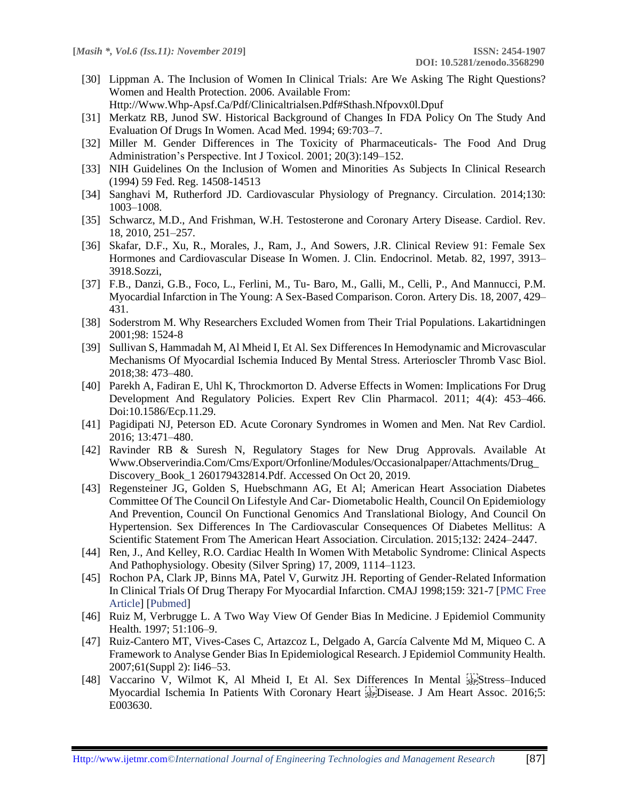[30] Lippman A. The Inclusion of Women In Clinical Trials: Are We Asking The Right Questions? Women and Health Protection. 2006. Available From:

Http://Www.Whp-Apsf.Ca/Pdf/Clinicaltrialsen.Pdf#Sthash.Nfpovx0l.Dpuf

- [31] Merkatz RB, Junod SW. Historical Background of Changes In FDA Policy On The Study And Evaluation Of Drugs In Women. Acad Med. 1994; 69:703–7.
- [32] Miller M. Gender Differences in The Toxicity of Pharmaceuticals- The Food And Drug Administration's Perspective. Int J Toxicol. 2001; 20(3):149–152.
- [33] NIH Guidelines On the Inclusion of Women and Minorities As Subjects In Clinical Research (1994) 59 Fed. Reg. 14508-14513
- [34] Sanghavi M, Rutherford JD. Cardiovascular Physiology of Pregnancy. Circulation. 2014;130: 1003–1008.
- [35] Schwarcz, M.D., And Frishman, W.H. Testosterone and Coronary Artery Disease. Cardiol. Rev. 18, 2010, 251–257.
- [36] Skafar, D.F., Xu, R., Morales, J., Ram, J., And Sowers, J.R. Clinical Review 91: Female Sex Hormones and Cardiovascular Disease In Women. J. Clin. Endocrinol. Metab. 82, 1997, 3913– 3918.Sozzi,
- [37] F.B., Danzi, G.B., Foco, L., Ferlini, M., Tu- Baro, M., Galli, M., Celli, P., And Mannucci, P.M. Myocardial Infarction in The Young: A Sex-Based Comparison. Coron. Artery Dis. 18, 2007, 429– 431.
- [38] Soderstrom M. Why Researchers Excluded Women from Their Trial Populations. Lakartidningen 2001;98: 1524-8
- [39] Sullivan S, Hammadah M, Al Mheid I, Et Al. Sex Differences In Hemodynamic and Microvascular Mechanisms Of Myocardial Ischemia Induced By Mental Stress. Arterioscler Thromb Vasc Biol. 2018;38: 473–480.
- [40] Parekh A, Fadiran E, Uhl K, Throckmorton D. Adverse Effects in Women: Implications For Drug Development And Regulatory Policies. Expert Rev Clin Pharmacol. 2011; 4(4): 453–466. Doi:10.1586/Ecp.11.29.
- [41] Pagidipati NJ, Peterson ED. Acute Coronary Syndromes in Women and Men. Nat Rev Cardiol. 2016; 13:471–480.
- [42] Ravinder RB & Suresh N, Regulatory Stages for New Drug Approvals. Available At Www.Observerindia.Com/Cms/Export/Orfonline/Modules/Occasionalpaper/Attachments/Drug\_ Discovery\_Book\_1 260179432814.Pdf. Accessed On Oct 20, 2019.
- [43] Regensteiner JG, Golden S, Huebschmann AG, Et Al; American Heart Association Diabetes Committee Of The Council On Lifestyle And Car- Diometabolic Health, Council On Epidemiology And Prevention, Council On Functional Genomics And Translational Biology, And Council On Hypertension. Sex Differences In The Cardiovascular Consequences Of Diabetes Mellitus: A Scientific Statement From The American Heart Association. Circulation. 2015;132: 2424–2447.
- [44] Ren, J., And Kelley, R.O. Cardiac Health In Women With Metabolic Syndrome: Clinical Aspects And Pathophysiology. Obesity (Silver Spring) 17, 2009, 1114–1123.
- [45] Rochon PA, Clark JP, Binns MA, Patel V, Gurwitz JH. Reporting of Gender-Related Information In Clinical Trials Of Drug Therapy For Myocardial Infarction. CMAJ 1998;159: 321-7 [PMC Free Article] [Pubmed]
- [46] Ruiz M, Verbrugge L. A Two Way View Of Gender Bias In Medicine. J Epidemiol Community Health. 1997; 51:106–9.
- [47] Ruiz-Cantero MT, Vives-Cases C, Artazcoz L, Delgado A, García Calvente Md M, Miqueo C. A Framework to Analyse Gender Bias In Epidemiological Research. J Epidemiol Community Health. 2007;61(Suppl 2): Ii46–53.
- [48] Vaccarino V, Wilmot K, Al Mheid I, Et Al. Sex Differences In Mental stepStress-Induced Myocardial Ischemia In Patients With Coronary Heart StepDisease. J Am Heart Assoc. 2016;5: E003630.